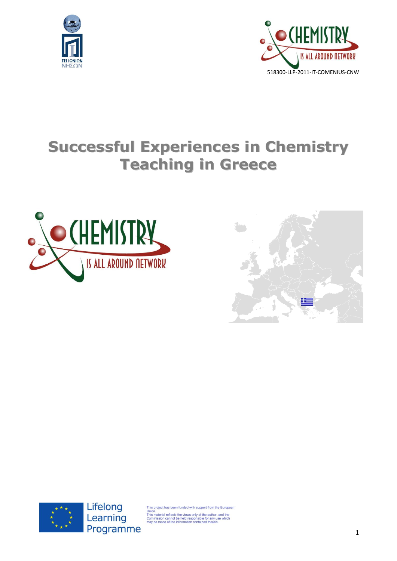



# **Successful Experiences in Chemistry Teaching in Greece**







Lifelong Learning Programme

is project has been funded with support from the European

Union.<br>This material reflects the views only of the author, and the<br>Commission cannot be held responsible for any use which<br>may be made of the information contained therein.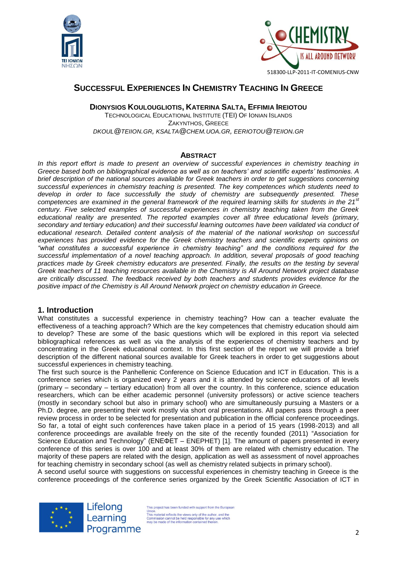



# **SUCCESSFUL EXPERIENCES IN CHEMISTRY TEACHING IN GREECE**

**DIONYSIOS KOULOUGLIOTIS, KATERINA SALTA, EFFIMIA IREIOTOU**

TECHNOLOGICAL EDUCATIONAL INSTITUTE (TEI) OF IONIAN ISLANDS ZAKYNTHOS, GREECE *[DKOUL](mailto:dkoul@teiion.gr)@TEIION.GR, [KSALTA](mailto:ksalta@chem.uoa.gr)@CHEM.UOA.GR, [EERIOTOU](mailto:eeriotou@teiion.gr)@TEIION.GR*

#### **ABSTRACT**

In this report effort is made to present an overview of successful experiences in chemistry teaching in *Greece based both on bibliographical evidence as well as on teachers' and scientific experts' testimonies. A brief description of the national sources available for Greek teachers in order to get suggestions concerning successful experiences in chemistry teaching is presented. The key competences which students need to develop in order to face successfully the study of chemistry are subsequently presented. These competences are examined in the general framework of the required learning skills for students in the 21st century. Five selected examples of successful experiences in chemistry teaching taken from the Greek educational reality are presented. The reported examples cover all three educational levels (primary, secondary and tertiary education) and their successful learning outcomes have been validated via conduct of educational research. Detailed content analysis of the material of the national workshop on successful experiences has provided evidence for the Greek chemistry teachers and scientific experts opinions on "what constitutes a successful experience in chemistry teaching" and the conditions required for the successful implementation of a novel teaching approach. In addition, several proposals of good teaching practices made by Greek chemistry educators are presented. Finally, the results on the testing by several Greek teachers of 11 teaching resources available in the Chemistry is All Around Network project database are critically discussed. The feedback received by both teachers and students provides evidence for the positive impact of the Chemistry is All Around Network project on chemistry education in Greece.*

#### **1. Introduction**

What constitutes a successful experience in chemistry teaching? How can a teacher evaluate the effectiveness of a teaching approach? Which are the key competences that chemistry education should aim to develop? These are some of the basic questions which will be explored in this report via selected bibliographical references as well as via the analysis of the experiences of chemistry teachers and by concentrating in the Greek educational context. In this first section of the report we will provide a brief description of the different national sources available for Greek teachers in order to get suggestions about successful experiences in chemistry teaching.

The first such source is the Panhellenic Conference on Science Education and ICT in Education. This is a conference series which is organized every 2 years and it is attended by science educators of all levels (primary – secondary – tertiary education) from all over the country. In this conference, science education researchers, which can be either academic personnel (university professors) or active science teachers (mostly in secondary school but also in primary school) who are simultaneously pursuing a Masters or a Ph.D. degree, are presenting their work mostly via short oral presentations. All papers pass through a peer review process in order to be selected for presentation and publication in the official conference proceedings. So far, a total of eight such conferences have taken place in a period of 15 years (1998-2013) and all conference proceedings are available freely on the site of the recently founded (2011) "Association for Science Education and Technology" (ΕΝΕΦΕΤ – ENEPHET) [1]. The amount of papers presented in every conference of this series is over 100 and at least 30% of them are related with chemistry education. The majority of these papers are related with the design, application as well as assessment of novel approaches for teaching chemistry in secondary school (as well as chemistry related subjects in primary school).

A second useful source with suggestions on successful experiences in chemistry teaching in Greece is the conference proceedings of the conference series organized by the Greek Scientific Association of ICT in



Lifelong Learning Programme

This project has been funded with support from the European Union.<br>This material reflects the views only of the author, and the<br>This material reflects the views only of the author, and the<br>Commission cannot be held responsible for any use which<br>may be made of the information contai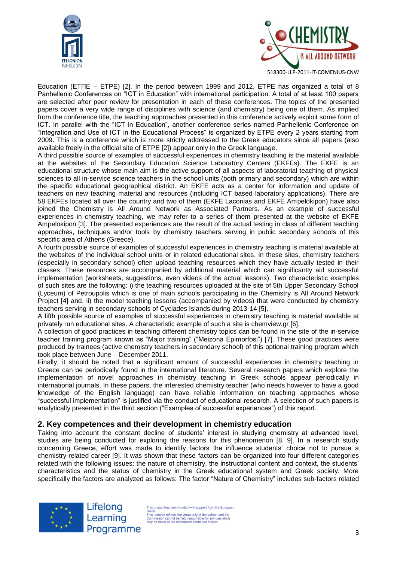



Education (ΕΤΠΕ – ETPE) [2]. In the period between 1999 and 2012, ETPE has organized a total of 8 Panhellenic Conferences on "ICT in Education" with international participation. A total of at least 100 papers are selected after peer review for presentation in each of these conferences. The topics of the presented papers cover a very wide range of disciplines with science (and chemistry) being one of them. As implied from the conference title, the teaching approaches presented in this conference actively exploit some form of ICT. In parallel with the "ICT in Education", another conference series named Panhellenic Conference on "Integration and Use of ICT in the Educational Process" is organized by ETPE every 2 years starting from 2009. This is a conference which is more strictly addressed to the Greek educators since all papers (also available freely in the official site of ETPE [2]) appear only in the Greek language.

A third possible source of examples of successful experiences in chemistry teaching is the material available at the websites of the Secondary Education Science Laboratory Centers (EKFEs). The EKFE is an educational structure whose main aim is the active support of all aspects of laboratorial teaching of physical sciences to all in-service science teachers in the school units (both primary and secondary) which are within the specific educational geographical district. An EKFE acts as a center for information and update of teachers on new teaching material and resources (including ICT based laboratory applications). There are 58 EKFEs located all over the country and two of them (EKFE Laconias and EKFE Ampelokipon) have also joined the Chemistry is All Around Network as Associated Partners. As an example of successful experiences in chemistry teaching, we may refer to a series of them presented at the website of EKFE Ampelokipon [3]. The presented experiences are the result of the actual testing in class of different teaching approaches, techniques and/or tools by chemistry teachers serving in public secondary schools of this specific area of Athens (Greece).

A fourth possible source of examples of successful experiences in chemistry teaching is material available at the websites of the individual school units or in related educational sites. In these sites, chemistry teachers (especially in secondary school) often upload teaching resources which they have actually tested in their classes. These resources are accompanied by additional material which can significantly aid successful implementation (worksheets, suggestions, even videos of the actual lessons). Two characteristic examples of such sites are the following: i) the teaching resources uploaded at the site of 5th Upper Secondary School (Lyceum) of Petroupolis which is one of main schools participating in the Chemistry is All Around Network Project [4] and, ii) the model teaching lessons (accompanied by videos) that were conducted by chemistry teachers serving in secondary schools of Cyclades Islands during 2013-14 [5].

A fifth possible source of examples of successful experiences in chemistry teaching is material available at privately run educational sites. A characteristic example of such a site is chemview.gr [6].

A collection of good practices in teaching different chemistry topics can be found in the site of the in-service teacher training program known as "Major training" ("Meizona Epimorfosi") [7]. These good practices were produced by trainees (active chemistry teachers in secondary school) of this optional training program which took place between June – December 2011.

Finally, it should be noted that a significant amount of successful experiences in chemistry teaching in Greece can be periodically found in the international literature. Several research papers which explore the implementation of novel approaches in chemistry teaching in Greek schools appear periodically in international journals. In these papers, the interested chemistry teacher (who needs however to have a good knowledge of the English language) can have reliable information on teaching approaches whose "successful implementation" is justified via the conduct of educational research. A selection of such papers is analytically presented in the third section ("Examples of successful experiences") of this report.

#### **2. Key competences and their development in chemistry education**

Taking into account the constant decline of students' interest in studying chemistry at advanced level, studies are being conducted for exploring the reasons for this phenomenon [8, 9]. In a research study concerning Greece, effort was made to identify factors the influence students' choice not to pursue a chemistry-related career [9]. It was shown that these factors can be organized into four different categories related with the following issues: the nature of chemistry, the instructional content and context, the students' characteristics and the status of chemistry in the Greek educational system and Greek society. More specifically the factors are analyzed as follows: The factor "Nature of Chemistry" includes sub-factors related



Lifelong Learning Programme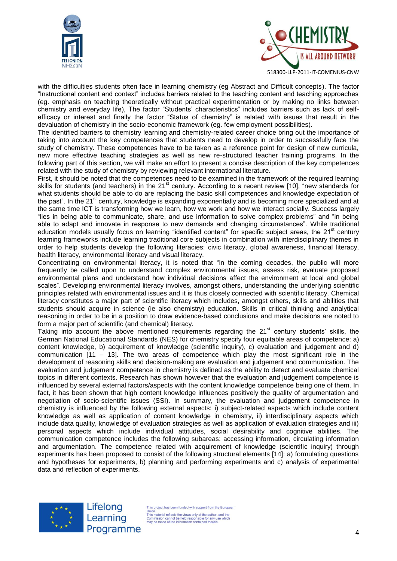



with the difficulties students often face in learning chemistry (eg Abstract and Difficult concepts). The factor "Instructional content and context" includes barriers related to the teaching content and teaching approaches (eg. emphasis on teaching theoretically without practical experimentation or by making no links between chemistry and everyday life), The factor "Students' characteristics" includes barriers such as lack of selfefficacy or interest and finally the factor "Status of chemistry" is related with issues that result in the devaluation of chemistry in the socio-economic framework (eg. few employment possibilities).

The identified barriers to chemistry learning and chemistry-related career choice bring out the importance of taking into account the key competences that students need to develop in order to successfully face the study of chemistry. These competences have to be taken as a reference point for design of new curricula, new more effective teaching strategies as well as new re-structured teacher training programs. In the following part of this section, we will make an effort to present a concise description of the key competences related with the study of chemistry by reviewing relevant international literature.

First, it should be noted that the competences need to be examined in the framework of the required learning skills for students (and teachers) in the 21<sup>st</sup> century. According to a recent review [10], "new standards for what students should be able to do are replacing the basic skill competences and knowledge expectation of the past". In the 21<sup>st</sup> century, knowledge is expanding exponentially and is becoming more specialized and at the same time ICT is transforming how we learn, how we work and how we interact socially. Success largely "lies in being able to communicate, share, and use information to solve complex problems" and "in being able to adapt and innovate in response to new demands and changing circumstances". While traditional education models usually focus on learning "identified content" for specific subject areas, the 21<sup>st</sup> century learning frameworks include learning traditional core subjects in combination with interdisciplinary themes in order to help students develop the following literacies: civic literacy, global awareness, financial literacy, health literacy, environmental literacy and visual literacy.

Concentrating on environmental literacy, it is noted that "in the coming decades, the public will more frequently be called upon to understand complex environmental issues, assess risk, evaluate proposed environmental plans and understand how individual decisions affect the environment at local and global scales". Developing environmental literacy involves, amongst others, understanding the underlying scientific principles related with environmental issues and it is thus closely connected with scientific literacy. Chemical literacy constitutes a major part of scientific literacy which includes, amongst others, skills and abilities that students should acquire in science (ie also chemistry) education. Skills in critical thinking and analytical reasoning in order to be in a position to draw evidence-based conclusions and make decisions are noted to form a major part of scientific (and chemical) literacy.

Taking into account the above mentioned requirements regarding the  $21<sup>st</sup>$  century students' skills, the German National Educational Standards (NES) for chemistry specify four equitable areas of competence: a) content knowledge, b) acquirement of knowledge (scientific inquiry), c) evaluation and judgement and d) communication  $[11 - 13]$ . The two areas of competence which play the most significant role in the development of reasoning skills and decision-making are evaluation and judgement and communication. The evaluation and judgement competence in chemistry is defined as the ability to detect and evaluate chemical topics in different contexts. Research has shown however that the evaluation and judgement competence is influenced by several external factors/aspects with the content knowledge competence being one of them. In fact, it has been shown that high content knowledge influences positively the quality of argumentation and negotiation of socio-scientific issues (SSI). In summary, the evaluation and judgement competence in chemistry is influenced by the following external aspects: i) subject-related aspects which include content knowledge as well as application of content knowledge in chemistry, ii) interdisciplinary aspects which include data quality, knowledge of evaluation strategies as well as application of evaluation strategies and iii) personal aspects which include individual attitudes, social desirability and cognitive abilities. The communication competence includes the following subareas: accessing information, circulating information and argumentation. The competence related with acquirement of knowledge (scientific inquiry) through experiments has been proposed to consist of the following structural elements [14]: a) formulating questions and hypotheses for experiments, b) planning and performing experiments and c) analysis of experimental data and reflection of experiments.



Lifelong Learning Programme

his project has been funded with support from the European This material reflects the views only of the author.<br>This material reflects the views only of the author.<br>Commission cannot be held responsible for any use which<br>may be made of the information contained therein.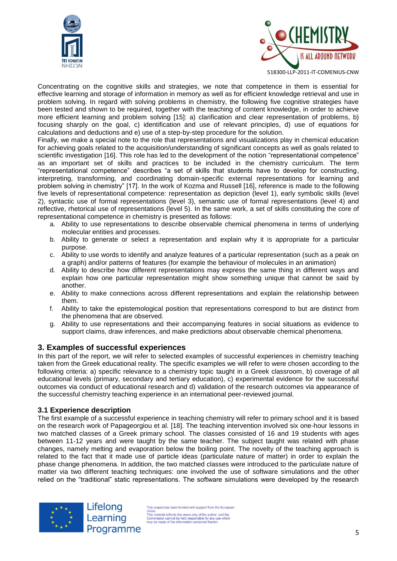



Concentrating on the cognitive skills and strategies, we note that competence in them is essential for effective learning and storage of information in memory as well as for efficient knowledge retrieval and use in problem solving. In regard with solving problems in chemistry, the following five cognitive strategies have been tested and shown to be required, together with the teaching of content knowledge, in order to achieve more efficient learning and problem solving [15]: a) clarification and clear representation of problems, b) focusing sharply on the goal, c) identification and use of relevant principles, d) use of equations for calculations and deductions and e) use of a step-by-step procedure for the solution.

Finally, we make a special note to the role that representations and visualizations play in chemical education for achieving goals related to the acquisition/understanding of significant concepts as well as goals related to scientific investigation [16]. This role has led to the development of the notion "representational competence" as an important set of skills and practices to be included in the chemistry curriculum. The term "representational competence" describes "a set of skills that students have to develop for constructing, interpreting, transforming, and coordinating domain-specific external representations for learning and problem solving in chemistry" [17]. In the work of Kozma and Russell [16], reference is made to the following five levels of representational competence: representation as depiction (level 1), early symbolic skills (level 2), syntactic use of formal representations (level 3), semantic use of formal representations (level 4) and reflective, rhetorical use of representations (level 5). In the same work, a set of skills constituting the core of representational competence in chemistry is presented as follows:

- a. Ability to use representations to describe observable chemical phenomena in terms of underlying molecular entities and processes.
- b. Ability to generate or select a representation and explain why it is appropriate for a particular purpose.
- c. Ability to use words to identify and analyze features of a particular representation (such as a peak on a graph) and/or patterns of features (for example the behaviour of molecules in an animation)
- d. Ability to describe how different representations may express the same thing in different ways and explain how one particular representation might show something unique that cannot be said by another.
- e. Ability to make connections across different representations and explain the relationship between them.
- f. Ability to take the epistemological position that representations correspond to but are distinct from the phenomena that are observed.
- g. Ability to use representations and their accompanying features in social situations as evidence to support claims, draw inferences, and make predictions about observable chemical phenomena.

## **3. Examples of successful experiences**

In this part of the report, we will refer to selected examples of successful experiences in chemistry teaching taken from the Greek educational reality. The specific examples we will refer to were chosen according to the following criteria: a) specific relevance to a chemistry topic taught in a Greek classroom, b) coverage of all educational levels (primary, secondary and tertiary education), c) experimental evidence for the successful outcomes via conduct of educational research and d) validation of the research outcomes via appearance of the successful chemistry teaching experience in an international peer-reviewed journal.

#### **3.1 Experience description**

The first example of a successful experience in teaching chemistry will refer to primary school and it is based on the research work of Papageorgiou et al. [18]. The teaching intervention involved six one-hour lessons in two matched classes of a Greek primary school. The classes consisted of 16 and 19 students with ages between 11-12 years and were taught by the same teacher. The subject taught was related with phase changes, namely melting and evaporation below the boiling point. The novelty of the teaching approach is related to the fact that it made use of particle ideas (particulate nature of matter) in order to explain the phase change phenomena. In addition, the two matched classes were introduced to the particulate nature of matter via two different teaching techniques: one involved the use of software simulations and the other relied on the "traditional" static representations. The software simulations were developed by the research



Lifelong Learning Programme

This project has been funded with support from the European Union.<br>This material reflects the views only of the author, and the<br>This material reflects the views only of the author, and the<br>Commission cannot be held responsible for any use which<br>may be made of the information contai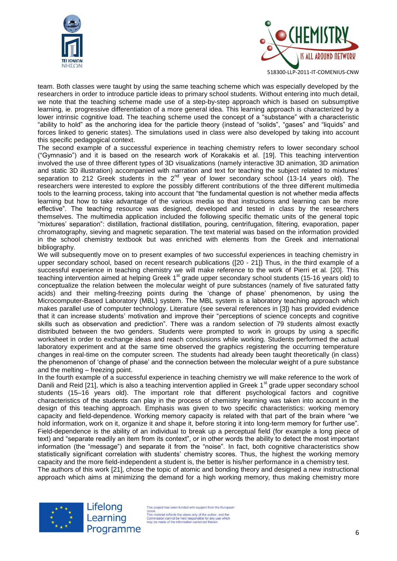



team. Both classes were taught by using the same teaching scheme which was especially developed by the researchers in order to introduce particle ideas to primary school students. Without entering into much detail, we note that the teaching scheme made use of a step-by-step approach which is based on subsumptive learning, ie. progressive differentiation of a more general idea. This learning approach is characterized by a lower intrinsic cognitive load. The teaching scheme used the concept of a "substance" with a characteristic "ability to hold" as the anchoring idea for the particle theory (instead of "solids", "gases" and "liquids" and forces linked to generic states). The simulations used in class were also developed by taking into account this specific pedagogical context.

The second example of a successful experience in teaching chemistry refers to lower secondary school ("Gymnasio") and it is based on the research work of Korakakis et al. [19]. This teaching intervention involved the use of three different types of 3D visualizations (namely interactive 3D animation, 3D animation and static 3D illustration) accompanied with narration and text for teaching the subject related to mixtures' separation to 212 Greek students in the 2<sup>nd</sup> year of lower secondary school (13-14 years old). The researchers were interested to explore the possibly different contributions of the three different multimedia tools to the learning process, taking into account that "the fundamental question is not whether media affects learning but how to take advantage of the various media so that instructions and learning can be more effective". The teaching resource was designed, developed and tested in class by the researchers themselves. The multimedia application included the following specific thematic units of the general topic "mixtures' separation": distillation, fractional distillation, pouring, centrifugation, filtering, evaporation, paper chromatography, sieving and magnetic separation. The text material was based on the information provided in the school chemistry textbook but was enriched with elements from the Greek and international bibliography.

We will subsequently move on to present examples of two successful experiences in teaching chemistry in upper secondary school, based on recent research publications ([20 - 21]) Thus, in the third example of a successful experience in teaching chemistry we will make reference to the work of Pierri et al. [20]. This teaching intervention aimed at helping Greek 1<sup>st</sup> grade upper secondary school students (15-16 years old) to conceptualize the relation between the molecular weight of pure substances (namely of five saturated fatty acids) and their melting-freezing points during the 'change of phase' phenomenon, by using the Microcomputer-Based Laboratory (MBL) system. The MBL system is a laboratory teaching approach which makes parallel use of computer technology. Literature (see several references in [3]) has provided evidence that it can increase students' motivation and improve their "perceptions of science concepts and cognitive skills such as observation and prediction". There was a random selection of 79 students almost exactly distributed between the two genders. Students were prompted to work in groups by using a specific worksheet in order to exchange ideas and reach conclusions while working. Students performed the actual laboratory experiment and at the same time observed the graphics registering the occurring temperature changes in real-time on the computer screen. The students had already been taught theoretically (in class) the phenomenon of 'change of phase' and the connection between the molecular weight of a pure substance and the melting – freezing point.

In the fourth example of a successful experience in teaching chemistry we will make reference to the work of Danili and Reid [21], which is also a teaching intervention applied in Greek 1<sup>st</sup> grade upper secondary school students (15–16 years old). The important role that different psychological factors and cognitive characteristics of the students can play in the process of chemistry learning was taken into account in the design of this teaching approach. Emphasis was given to two specific characteristics: working memory capacity and field-dependence. Working memory capacity is related with that part of the brain where "we hold information, work on it, organize it and shape it, before storing it into long-term memory for further use". Field-dependence is the ability of an individual to break up a perceptual field (for example a long piece of text) and "separate readily an item from its context", or in other words the ability to detect the most important information (the "message") and separate it from the "noise". In fact, both cognitive characteristics show statistically significant correlation with students' chemistry scores. Thus, the highest the working memory capacity and the more field-independent a student is, the better is his/her performance in a chemistry test.

The authors of this work [21], chose the topic of atomic and bonding theory and designed a new instructional approach which aims at minimizing the demand for a high working memory, thus making chemistry more



Lifelong Learning Programme

This project has been funded with support from the European Union.<br>This material reflects the views only of the author, and the<br>This material reflects the views only of the author, and the<br>Commission cannot be held responsible for any use whi<br>may be made of the information containe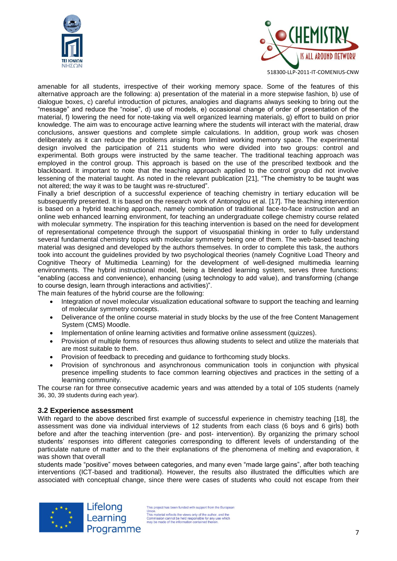



amenable for all students, irrespective of their working memory space. Some of the features of this alternative approach are the following: a) presentation of the material in a more stepwise fashion, b) use of dialogue boxes, c) careful introduction of pictures, analogies and diagrams always seeking to bring out the "message" and reduce the "noise", d) use of models, e) occasional change of order of presentation of the material, f) lowering the need for note-taking via well organized learning materials, g) effort to build on prior knowledge. The aim was to encourage active learning where the students will interact with the material, draw conclusions, answer questions and complete simple calculations. In addition, group work was chosen deliberately as it can reduce the problems arising from limited working memory space. The experimental design involved the participation of 211 students who were divided into two groups: control and experimental. Both groups were instructed by the same teacher. The traditional teaching approach was employed in the control group. This approach is based on the use of the prescribed textbook and the blackboard. It important to note that the teaching approach applied to the control group did not involve lessening of the material taught. As noted in the relevant publication [21], "The chemistry to be taught was not altered; the way it was to be taught was re-structured".

Finally a brief description of a successful experience of teaching chemistry in tertiary education will be subsequently presented. It is based on the research work of Antonoglou et al. [17]. The teaching intervention is based on a hybrid teaching approach, namely combination of traditional face-to-face instruction and an online web enhanced learning environment, for teaching an undergraduate college chemistry course related with molecular symmetry. The inspiration for this teaching intervention is based on the need for development of representational competence through the support of visuospatial thinking in order to fully understand several fundamental chemistry topics with molecular symmetry being one of them. The web-based teaching material was designed and developed by the authors themselves. In order to complete this task, the authors took into account the guidelines provided by two psychological theories (namely Cognitive Load Theory and Cognitive Theory of Multimedia Learning) for the development of well-designed multimedia learning environments. The hybrid instructional model, being a blended learning system, serves three functions: "enabling (access and convenience), enhancing (using technology to add value), and transforming (change to course design, learn through interactions and activities)".

The main features of the hybrid course are the following:

- Integration of novel molecular visualization educational software to support the teaching and learning of molecular symmetry concepts.
- Deliverance of the online course material in study blocks by the use of the free Content Management System (CMS) Moodle.
- Implementation of online learning activities and formative online assessment (quizzes).
- Provision of multiple forms of resources thus allowing students to select and utilize the materials that are most suitable to them.
- Provision of feedback to preceding and quidance to forthcoming study blocks.
- Provision of synchronous and asynchronous communication tools in conjunction with physical presence impelling students to face common learning objectives and practices in the setting of a learning community.

The course ran for three consecutive academic years and was attended by a total of 105 students (namely 36, 30, 39 students during each year).

#### **3.2 Experience assessment**

With regard to the above described first example of successful experience in chemistry teaching [18], the assessment was done via individual interviews of 12 students from each class (6 boys and 6 girls) both before and after the teaching intervention (pre- and post- intervention). By organizing the primary school students' responses into different categories corresponding to different levels of understanding of the particulate nature of matter and to the their explanations of the phenomena of melting and evaporation, it was shown that overall

students made "positive" moves between categories, and many even "made large gains", after both teaching interventions (ICT-based and traditional). However, the results also illustrated the difficulties which are associated with conceptual change, since there were cases of students who could not escape from their

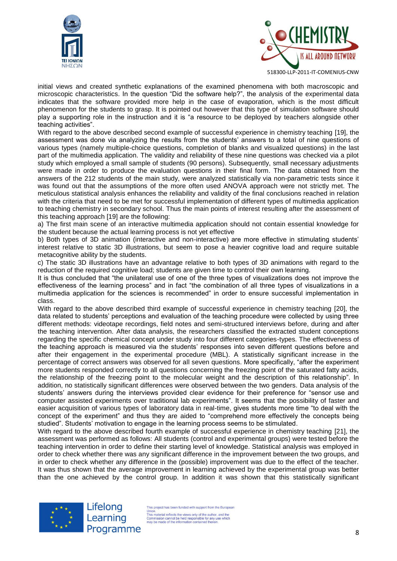



initial views and created synthetic explanations of the examined phenomena with both macroscopic and microscopic characteristics. In the question "Did the software help?", the analysis of the experimental data indicates that the software provided more help in the case of evaporation, which is the most difficult phenomenon for the students to grasp. It is pointed out however that this type of simulation software should play a supporting role in the instruction and it is "a resource to be deployed by teachers alongside other teaching activities".

With regard to the above described second example of successful experience in chemistry teaching [19], the assessment was done via analyzing the results from the students' answers to a total of nine questions of various types (namely multiple-choice questions, completion of blanks and visualized questions) in the last part of the multimedia application. The validity and reliability of these nine questions was checked via a pilot study which employed a small sample of students (90 persons). Subsequently, small necessary adjustments were made in order to produce the evaluation questions in their final form. The data obtained from the answers of the 212 students of the main study, were analyzed statistically via non-parametric tests since it was found out that the assumptions of the more often used ANOVA approach were not strictly met. The meticulous statistical analysis enhances the reliability and validity of the final conclusions reached in relation with the criteria that need to be met for successful implementation of different types of multimedia application to teaching chemistry in secondary school. Thus the main points of interest resulting after the assessment of this teaching approach [19] are the following:

a) The first main scene of an interactive multimedia application should not contain essential knowledge for the student because the actual learning process is not yet effective

b) Both types of 3D animation (interactive and non-interactive) are more effective in stimulating students' interest relative to static 3D illustrations, but seem to pose a heavier cognitive load and require suitable metacognitive ability by the students.

c) The static 3D illustrations have an advantage relative to both types of 3D animations with regard to the reduction of the required cognitive load; students are given time to control their own learning.

It is thus concluded that "the unilateral use of one of the three types of visualizations does not improve the effectiveness of the learning process" and in fact "the combination of all three types of visualizations in a multimedia application for the sciences is recommended" in order to ensure successful implementation in class.

With regard to the above described third example of successful experience in chemistry teaching [20], the data related to students' perceptions and evaluation of the teaching procedure were collected by using three different methods: videotape recordings, field notes and semi-structured interviews before, during and after the teaching intervention. After data analysis, the researchers classified the extracted student conceptions regarding the specific chemical concept under study into four different categories-types. The effectiveness of the teaching approach is measured via the students' responses into seven different questions before and after their engagement in the experimental procedure (MBL). A statistically significant increase in the percentage of correct answers was observed for all seven questions. More specifically, "after the experiment more students responded correctly to all questions concerning the freezing point of the saturated fatty acids, the relationship of the freezing point to the molecular weight and the description of this relationship". In addition, no statistically significant differences were observed between the two genders. Data analysis of the students' answers during the interviews provided clear evidence for their preference for "sensor use and computer assisted experiments over traditional lab experiments". It seems that the possibility of faster and easier acquisition of various types of laboratory data in real-time, gives students more time "to deal with the concept of the experiment" and thus they are aided to "comprehend more effectively the concepts being studied". Students' motivation to engage in the learning process seems to be stimulated.

With regard to the above described fourth example of successful experience in chemistry teaching [21], the assessment was performed as follows: All students (control and experimental groups) were tested before the teaching intervention in order to define their starting level of knowledge. Statistical analysis was employed in order to check whether there was any significant difference in the improvement between the two groups, and in order to check whether any difference in the (possible) improvement was due to the effect of the teacher. It was thus shown that the average improvement in learning achieved by the experimental group was better than the one achieved by the control group. In addition it was shown that this statistically significant



Lifelong Learning Programme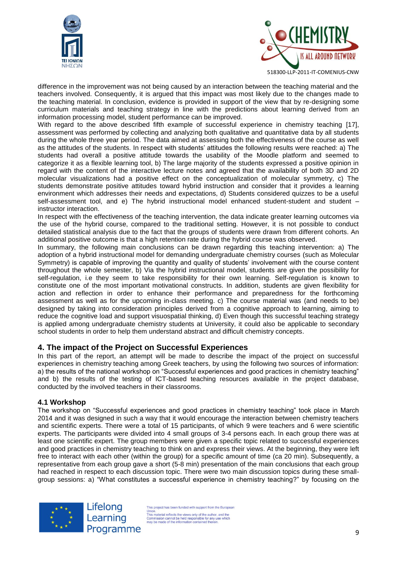



difference in the improvement was not being caused by an interaction between the teaching material and the teachers involved. Consequently, it is argued that this impact was most likely due to the changes made to the teaching material. In conclusion, evidence is provided in support of the view that by re-designing some curriculum materials and teaching strategy in line with the predictions about learning derived from an information processing model, student performance can be improved.

With regard to the above described fifth example of successful experience in chemistry teaching [17], assessment was performed by collecting and analyzing both qualitative and quantitative data by all students during the whole three year period. The data aimed at assessing both the effectiveness of the course as well as the attitudes of the students. In respect with students' attitudes the following results were reached: a) The students had overall a positive attitude towards the usability of the Moodle platform and seemed to categorize it as a flexible learning tool, b) The large majority of the students expressed a positive opinion in regard with the content of the interactive lecture notes and agreed that the availability of both 3D and 2D molecular visualizations had a positive effect on the conceptualization of molecular symmetry, c) The students demonstrate positive attitudes toward hybrid instruction and consider that it provides a learning environment which addresses their needs and expectations, d) Students considered quizzes to be a useful self-assessment tool, and e) The hybrid instructional model enhanced student-student and student – instructor interaction.

In respect with the effectiveness of the teaching intervention, the data indicate greater learning outcomes via the use of the hybrid course, compared to the traditional setting. However, it is not possible to conduct detailed statistical analysis due to the fact that the groups of students were drawn from different cohorts. An additional positive outcome is that a high retention rate during the hybrid course was observed.

In summary, the following main conclusions can be drawn regarding this teaching intervention: a) The adoption of a hybrid instructional model for demanding undergraduate chemistry courses (such as Molecular Symmetry) is capable of improving the quantity and quality of students' involvement with the course content throughout the whole semester, b) Via the hybrid instructional model, students are given the possibility for self-regulation, i.e they seem to take responsibility for their own learning. Self-regulation is known to constitute one of the most important motivational constructs. In addition, students are given flexibility for action and reflection in order to enhance their performance and preparedness for the forthcoming assessment as well as for the upcoming in-class meeting. c) The course material was (and needs to be) designed by taking into consideration principles derived from a cognitive approach to learning, aiming to reduce the cognitive load and support visuospatial thinking, d) Even though this successful teaching strategy is applied among undergraduate chemistry students at University, it could also be applicable to secondary school students in order to help them understand abstract and difficult chemistry concepts.

## **4. The impact of the Project on Successful Experiences**

In this part of the report, an attempt will be made to describe the impact of the project on successful experiences in chemistry teaching among Greek teachers, by using the following two sources of information: a) the results of the national workshop on "Successful experiences and good practices in chemistry teaching" and b) the results of the testing of ICT-based teaching resources available in the project database, conducted by the involved teachers in their classrooms.

#### **4.1 Workshop**

The workshop on "Successful experiences and good practices in chemistry teaching" took place in March 2014 and it was designed in such a way that it would encourage the interaction between chemistry teachers and scientific experts. There were a total of 15 participants, of which 9 were teachers and 6 were scientific experts. The participants were divided into 4 small groups of 3-4 persons each. In each group there was at least one scientific expert. The group members were given a specific topic related to successful experiences and good practices in chemistry teaching to think on and express their views. At the beginning, they were left free to interact with each other (within the group) for a specific amount of time (ca 20 min). Subsequently, a representative from each group gave a short (5-8 min) presentation of the main conclusions that each group had reached in respect to each discussion topic. There were two main discussion topics during these smallgroup sessions: a) "What constitutes a successful experience in chemistry teaching?" by focusing on the



Lifelong Learning Programme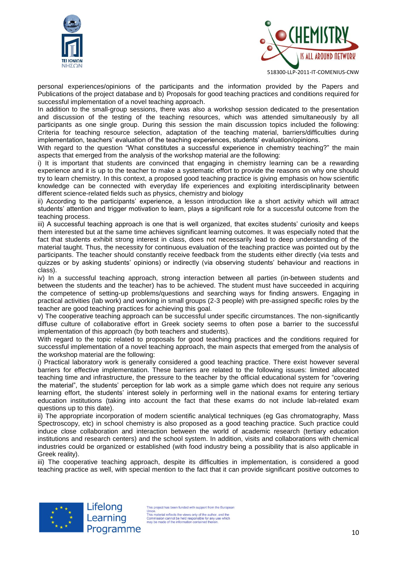



personal experiences/opinions of the participants and the information provided by the Papers and Publications of the project database and b) Proposals for good teaching practices and conditions required for successful implementation of a novel teaching approach.

In addition to the small-group sessions, there was also a workshop session dedicated to the presentation and discussion of the testing of the teaching resources, which was attended simultaneously by all participants as one single group. During this session the main discussion topics included the following: Criteria for teaching resource selection, adaptation of the teaching material, barriers/difficulties during implementation, teachers' evaluation of the teaching experiences, students' evaluation/opinions.

With regard to the question "What constitutes a successful experience in chemistry teaching?" the main aspects that emerged from the analysis of the workshop material are the following:

i) It is important that students are convinced that engaging in chemistry learning can be a rewarding experience and it is up to the teacher to make a systematic effort to provide the reasons on why one should try to learn chemistry. In this context, a proposed good teaching practice is giving emphasis on how scientific knowledge can be connected with everyday life experiences and exploiting interdisciplinarity between different science-related fields such as physics, chemistry and biology

ii) According to the participants' experience, a lesson introduction like a short activity which will attract students' attention and trigger motivation to learn, plays a significant role for a successful outcome from the teaching process.

iii) A successful teaching approach is one that is well organized, that excites students' curiosity and keeps them interested but at the same time achieves significant learning outcomes. It was especially noted that the fact that students exhibit strong interest in class, does not necessarily lead to deep understanding of the material taught. Thus, the necessity for continuous evaluation of the teaching practice was pointed out by the participants. The teacher should constantly receive feedback from the students either directly (via tests and quizzes or by asking students' opinions) or indirectly (via observing students' behaviour and reactions in class).

iv) In a successful teaching approach, strong interaction between all parties (in-between students and between the students and the teacher) has to be achieved. The student must have succeeded in acquiring the competence of setting-up problems/questions and searching ways for finding answers. Engaging in practical activities (lab work) and working in small groups (2-3 people) with pre-assigned specific roles by the teacher are good teaching practices for achieving this goal.

v) The cooperative teaching approach can be successful under specific circumstances. The non-significantly diffuse culture of collaborative effort in Greek society seems to often pose a barrier to the successful implementation of this approach (by both teachers and students).

With regard to the topic related to proposals for good teaching practices and the conditions required for successful implementation of a novel teaching approach, the main aspects that emerged from the analysis of the workshop material are the following:

i) Practical laboratory work is generally considered a good teaching practice. There exist however several barriers for effective implementation. These barriers are related to the following issues: limited allocated teaching time and infrastructure, the pressure to the teacher by the official educational system for "covering the material", the students' perception for lab work as a simple game which does not require any serious learning effort, the students' interest solely in performing well in the national exams for entering tertiary education institutions (taking into account the fact that these exams do not include lab-related exam questions up to this date).

ii) The appropriate incorporation of modern scientific analytical techniques (eg Gas chromatography, Mass Spectroscopy, etc) in school chemistry is also proposed as a good teaching practice. Such practice could induce close collaboration and interaction between the world of academic research (tertiary education institutions and research centers) and the school system. In addition, visits and collaborations with chemical industries could be organized or established (with food industry being a possibility that is also applicable in Greek reality).

iii) The cooperative teaching approach, despite its difficulties in implementation, is considered a good teaching practice as well, with special mention to the fact that it can provide significant positive outcomes to



Lifelong Learning Programme

This project has been funded with support from the European Union.<br>This material reflects the views only of the author, and the<br>This material reflects the views only of the author, and the<br>Commission cannot be held responsible for any use which<br>may be made of the information contai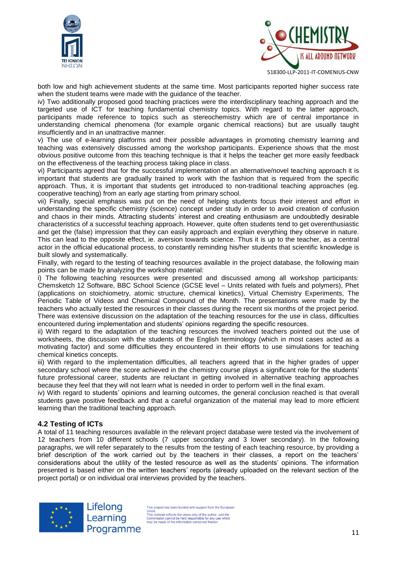



both low and high achievement students at the same time. Most participants reported higher success rate when the student teams were made with the guidance of the teacher.

iv) Two additionally proposed good teaching practices were the interdisciplinary teaching approach and the targeted use of ICT for teaching fundamental chemistry topics. With regard to the latter approach, participants made reference to topics such as stereochemistry which are of central importance in understanding chemical phenomena (for example organic chemical reactions) but are usually taught insufficiently and in an unattractive manner.

v) The use of e-learning platforms and their possible advantages in promoting chemistry learning and teaching was extensively discussed among the workshop participants. Experience shows that the most obvious positive outcome from this teaching technique is that it helps the teacher get more easily feedback on the effectiveness of the teaching process taking place in class.

vi) Participants agreed that for the successful implementation of an alternative/novel teaching approach it is important that students are gradually trained to work with the fashion that is required from the specific approach. Thus, it is important that students get introduced to non-traditional teaching approaches (eg. cooperative teaching) from an early age starting from primary school.

vii) Finally, special emphasis was put on the need of helping students focus their interest and effort in understanding the specific chemistry (science) concept under study in order to avoid creation of confusion and chaos in their minds. Attracting students' interest and creating enthusiasm are undoubtedly desirable characteristics of a successful teaching approach. However, quite often students tend to get overenthusiastic and get the (false) impression that they can easily approach and explain everything they observe in nature. This can lead to the opposite effect, ie. aversion towards science. Thus it is up to the teacher, as a central actor in the official educational process, to constantly reminding his/her students that scientific knowledge is built slowly and systematically.

Finally, with regard to the testing of teaching resources available in the project database, the following main points can be made by analyzing the workshop material:

i) The following teaching resources were presented and discussed among all workshop participants: Chemsketch 12 Software, BBC School Science (GCSE level – Units related with fuels and polymers), Phet (applications on stoichiometry, atomic structure, chemical kinetics), Virtual Chemistry Experiments, The Periodic Table of Videos and Chemical Compound of the Month. The presentations were made by the teachers who actually tested the resources in their classes during the recent six months of the project period. There was extensive discussion on the adaptation of the teaching resources for the use in class, difficulties encountered during implementation and students' opinions regarding the specific resources.

ii) With regard to the adaptation of the teaching resources the involved teachers pointed out the use of worksheets, the discussion with the students of the English terminology (which in most cases acted as a motivating factor) and some difficulties they encountered in their efforts to use simulations for teaching chemical kinetics concepts.

iii) With regard to the implementation difficulties, all teachers agreed that in the higher grades of upper secondary school where the score achieved in the chemistry course plays a significant role for the students' future professional career, students are reluctant in getting involved in alternative teaching approaches because they feel that they will not learn what is needed in order to perform well in the final exam.

iv) With regard to students' opinions and learning outcomes, the general conclusion reached is that overall students gave positive feedback and that a careful organization of the material may lead to more efficient learning than the traditional teaching approach.

#### **4.2 Testing of ICTs**

A total of 11 teaching resources available in the relevant project database were tested via the involvement of 12 teachers from 10 different schools (7 upper secondary and 3 lower secondary). In the following paragraphs, we will refer separately to the results from the testing of each teaching resource, by providing a brief description of the work carried out by the teachers in their classes, a report on the teachers' considerations about the utility of the tested resource as well as the students' opinions. The information presented is based either on the written teachers' reports (already uploaded on the relevant section of the project portal) or on individual oral interviews provided by the teachers.



Lifelong Learning Programme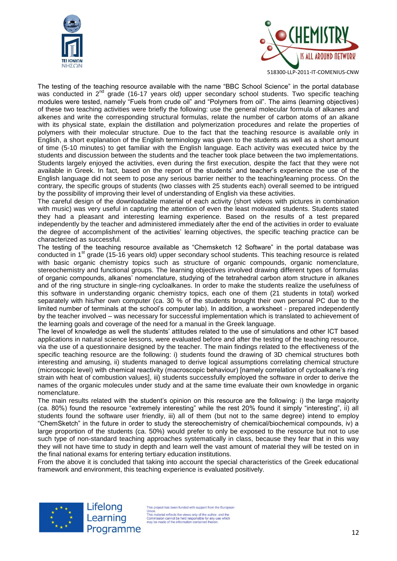



The testing of the teaching resource available with the name "BBC School Science" in the portal database was conducted in 2<sup>nd</sup> grade (16-17 years old) upper secondary school students. Two specific teaching modules were tested, namely "Fuels from crude oil" and "Polymers from oil". The aims (learning objectives) of these two teaching activities were briefly the following: use the general molecular formula of alkanes and alkenes and write the corresponding structural formulas, relate the number of carbon atoms of an alkane with its physical state, explain the distillation and polymerization procedures and relate the properties of polymers with their molecular structure. Due to the fact that the teaching resource is available only in English, a short explanation of the English terminology was given to the students as well as a short amount of time (5-10 minutes) to get familiar with the English language. Each activity was executed twice by the students and discussion between the students and the teacher took place between the two implementations. Students largely enjoyed the activities, even during the first execution, despite the fact that they were not available in Greek. In fact, based on the report of the students' and teacher's experience the use of the English language did not seem to pose any serious barrier neither to the teaching/learning process. On the contrary, the specific groups of students (two classes with 25 students each) overall seemed to be intrigued by the possibility of improving their level of understanding of English via these activities.

The careful design of the downloadable material of each activity (short videos with pictures in combination with music) was very useful in capturing the attention of even the least motivated students. Students stated they had a pleasant and interesting learning experience. Based on the results of a test prepared independently by the teacher and administered immediately after the end of the activities in order to evaluate the degree of accomplishment of the activities' learning objectives, the specific teaching practice can be characterized as successful.

The testing of the teaching resource available as "Chemsketch 12 Software" in the portal database was conducted in 1<sup>st</sup> grade (15-16 years old) upper secondary school students. This teaching resource is related with basic organic chemistry topics such as structure of organic compounds, organic nomenclature, stereochemistry and functional groups. The learning objectives involved drawing different types of formulas of organic compounds, alkanes' nomenclature, studying of the tetrahedral carbon atom structure in alkanes and of the ring structure in single-ring cycloalkanes. In order to make the students realize the usefulness of this software in understanding organic chemistry topics, each one of them (21 students in total) worked separately with his/her own computer (ca. 30 % of the students brought their own personal PC due to the limited number of terminals at the school's computer lab). In addition, a worksheet - prepared independently by the teacher involved – was necessary for successful implementation which is translated to achievement of the learning goals and coverage of the need for a manual in the Greek language.

The level of knowledge as well the students' attitudes related to the use of simulations and other ICT based applications in natural science lessons, were evaluated before and after the testing of the teaching resource, via the use of a questionnaire designed by the teacher. The main findings related to the effectiveness of the specific teaching resource are the following: i) students found the drawing of 3D chemical structures both interesting and amusing, ii) students managed to derive logical assumptions correlating chemical structure (microscopic level) with chemical reactivity (macroscopic behaviour) [namely correlation of cycloalkane's ring strain with heat of combustion values], iii) students successfully employed the software in order to derive the names of the organic molecules under study and at the same time evaluate their own knowledge in organic nomenclature.

The main results related with the student's opinion on this resource are the following: i) the large majority (ca. 80%) found the resource "extremely interesting" while the rest 20% found it simply "interesting", ii) all students found the software user friendly, iii) all of them (but not to the same degree) intend to employ "ChemSketch" in the future in order to study the stereochemistry of chemical/biochemical compounds, iv) a large proportion of the students (ca. 50%) would prefer to only be exposed to the resource but not to use such type of non-standard teaching approaches systematically in class, because they fear that in this way they will not have time to study in depth and learn well the vast amount of material they will be tested on in the final national exams for entering tertiary education institutions.

From the above it is concluded that taking into account the special characteristics of the Greek educational framework and environment, this teaching experience is evaluated positively.



Lifelong Learning Programme

his project has been funded with support from the European Union.<br>This material reflects the views only of the author, and the<br>This material reflects the views only of the author, and the<br>Commission cannot be held responsible for any use whi<br>may be made of the information containe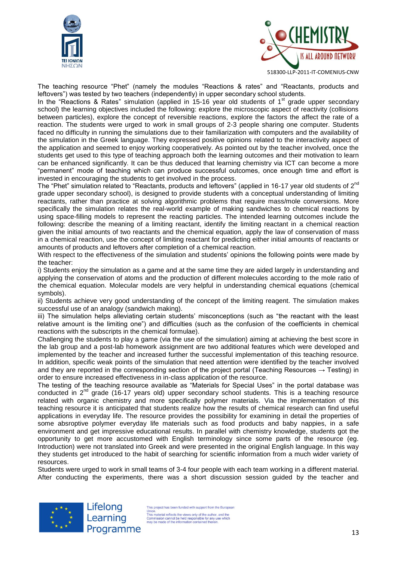



The teaching resource "Phet" (namely the modules "Reactions & rates" and "Reactants, products and leftovers") was tested by two teachers (independently) in upper secondary school students.

In the "Reactions & Rates" simulation (applied in 15-16 year old students of  $1<sup>st</sup>$  grade upper secondary school) the learning objectives included the following: explore the microscopic aspect of reactivity (collisions between particles), explore the concept of reversible reactions, explore the factors the affect the rate of a reaction. The students were urged to work in small groups of 2-3 people sharing one computer. Students faced no difficulty in running the simulations due to their familiarization with computers and the availability of the simulation in the Greek language. They expressed positive opinions related to the interactivity aspect of the application and seemed to enjoy working cooperatively. As pointed out by the teacher involved, once the students get used to this type of teaching approach both the learning outcomes and their motivation to learn can be enhanced significantly. It can be thus deduced that learning chemistry via ICT can become a more "permanent" mode of teaching which can produce successful outcomes, once enough time and effort is invested in encouraging the students to get involved in the process.

The "Phet" simulation related to "Reactants, products and leftovers" (applied in 16-17 year old students of 2<sup>nd</sup> grade upper secondary school), is designed to provide students with a conceptual understanding of limiting reactants, rather than practice at solving algorithmic problems that require mass/mole conversions. More specifically the simulation relates the real-world example of making sandwiches to chemical reactions by using space-filling models to represent the reacting particles. The intended learning outcomes include the following: describe the meaning of a limiting reactant, identify the limiting reactant in a chemical reaction given the initial amounts of two reactants and the chemical equation, apply the law of conservation of mass in a chemical reaction, use the concept of limiting reactant for predicting either initial amounts of reactants or amounts of products and leftovers after completion of a chemical reaction.

With respect to the effectiveness of the simulation and students' opinions the following points were made by the teacher:

i) Students enjoy the simulation as a game and at the same time they are aided largely in understanding and applying the conservation of atoms and the production of different molecules according to the mole ratio of the chemical equation. Molecular models are very helpful in understanding chemical equations (chemical symbols).

ii) Students achieve very good understanding of the concept of the limiting reagent. The simulation makes successful use of an analogy (sandwich making).

iii) The simulation helps alleviating certain students' misconceptions (such as "the reactant with the least relative amount is the limiting one") and difficulties (such as the confusion of the coefficients in chemical reactions with the subscripts in the chemical formulae).

Challenging the students to play a game (via the use of the simulation) aiming at achieving the best score in the lab group and a post-lab homework assignment are two additional features which were developed and implemented by the teacher and increased further the successful implementation of this teaching resource. In addition, specific weak points of the simulation that need attention were identified by the teacher involved and they are reported in the corresponding section of the project portal (Teaching Resources  $\rightarrow$  Testing) in order to ensure increased effectiveness in in-class application of the resource.

The testing of the teaching resource available as "Materials for Special Uses" in the portal database was conducted in  $2^{nd}$  grade (16-17 years old) upper secondary school students. This is a teaching resource related with organic chemistry and more specifically polymer materials. Via the implementation of this teaching resource it is anticipated that students realize how the results of chemical research can find useful applications in everyday life. The resource provides the possibility for examining in detail the properties of some absroptive polymer everyday life materials such as food products and baby nappies, in a safe environment and get impressive educational results. In parallel with chemistry knowledge, students got the opportunity to get more accustomed with English terminology since some parts of the resource (eg. Introduction) were not translated into Greek and were presented in the original English language. In this way they students get introduced to the habit of searching for scientific information from a much wider variety of resources.

Students were urged to work in small teams of 3-4 four people with each team working in a different material. After conducting the experiments, there was a short discussion session guided by the teacher and



Lifelong Learning Programme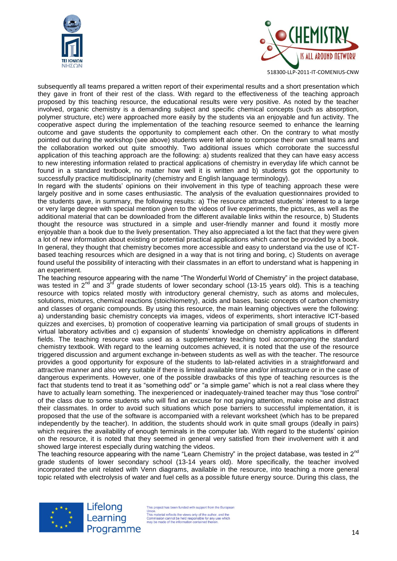



subsequently all teams prepared a written report of their experimental results and a short presentation which they gave in front of their rest of the class. With regard to the effectiveness of the teaching approach proposed by this teaching resource, the educational results were very positive. As noted by the teacher involved, organic chemistry is a demanding subject and specific chemical concepts (such as absorption, polymer structure, etc) were approached more easily by the students via an enjoyable and fun activity. The cooperative aspect during the implementation of the teaching resource seemed to enhance the learning outcome and gave students the opportunity to complement each other. On the contrary to what mostly pointed out during the workshop (see above) students were left alone to compose their own small teams and the collaboration worked out quite smoothly. Two additional issues which corroborate the successful application of this teaching approach are the following: a) students realized that they can have easy access to new interesting information related to practical applications of chemistry in everyday life which cannot be found in a standard textbook, no matter how well it is written and b) students got the opportunity to successfully practice multidisciplinarity (chemistry and English language terminology).

In regard with the students' opinions on their involvement in this type of teaching approach these were largely positive and in some cases enthusiastic. The analysis of the evaluation questionnaires provided to the students gave, in summary, the following results: a) The resource attracted students' interest to a large or very large degree with special mention given to the videos of live experiments, the pictures, as well as the additional material that can be downloaded from the different available links within the resource, b) Students thought the resource was structured in a simple and user-friendly manner and found it mostly more enjoyable than a book due to the lively presentation. They also appreciated a lot the fact that they were given a lot of new information about existing or potential practical applications which cannot be provided by a book. In general, they thought that chemistry becomes more accessible and easy to understand via the use of ICTbased teaching resources which are designed in a way that is not tiring and boring, c) Students on average found useful the possibility of interacting with their classmates in an effort to understand what is happening in an experiment.

The teaching resource appearing with the name "The Wonderful World of Chemistry" in the project database, was tested in 2<sup>nd</sup> and 3<sup>rd</sup> grade students of lower secondary school (13-15 years old). This is a teaching resource with topics related mostly with introductory general chemistry, such as atoms and molecules, solutions, mixtures, chemical reactions (stoichiometry), acids and bases, basic concepts of carbon chemistry and classes of organic compounds. By using this resource, the main learning objectives were the following: a) understanding basic chemistry concepts via images, videos of experiments, short interactive ICT-based quizzes and exercises, b) promotion of cooperative learning via participation of small groups of students in virtual laboratory activities and c) expansion of students' knowledge on chemistry applications in different fields. The teaching resource was used as a supplementary teaching tool accompanying the standard chemistry textbook. With regard to the learning outcomes achieved, it is noted that the use of the resource triggered discussion and argument exchange in-between students as well as with the teacher. The resource provides a good opportunity for exposure of the students to lab-related activities in a straightforward and attractive manner and also very suitable if there is limited available time and/or infrastructure or in the case of dangerous experiments. However, one of the possible drawbacks of this type of teaching resources is the fact that students tend to treat it as "something odd" or "a simple game" which is not a real class where they have to actually learn something. The inexperienced or inadequately-trained teacher may thus "lose control" of the class due to some students who will find an excuse for not paying attention, make noise and distract their classmates. In order to avoid such situations which pose barriers to successful implementation, it is proposed that the use of the software is accompanied with a relevant worksheet (which has to be prepared independently by the teacher). In addition, the students should work in quite small groups (ideally in pairs) which requires the availability of enough terminals in the computer lab. With regard to the students' opinion on the resource, it is noted that they seemed in general very satisfied from their involvement with it and showed large interest especially during watching the videos.

The teaching resource appearing with the name "Learn Chemistry" in the project database, was tested in 2<sup>nd</sup> grade students of lower secondary school (13-14 years old). More specifically, the teacher involved incorporated the unit related with Venn diagrams, available in the resource, into teaching a more general topic related with electrolysis of water and fuel cells as a possible future energy source. During this class, the



Lifelong Learning Programme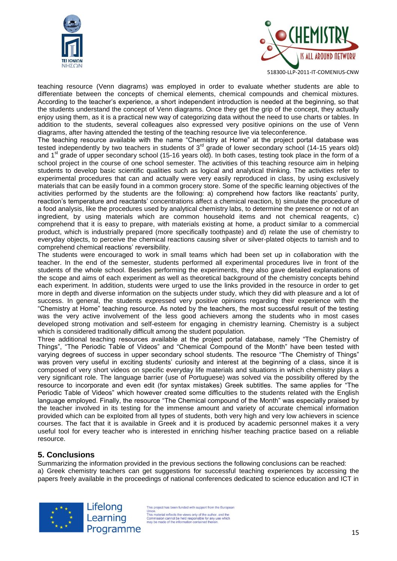



teaching resource (Venn diagrams) was employed in order to evaluate whether students are able to differentiate between the concepts of chemical elements, chemical compounds and chemical mixtures. According to the teacher's experience, a short independent introduction is needed at the beginning, so that the students understand the concept of Venn diagrams. Once they get the grip of the concept, they actually enjoy using them, as it is a practical new way of categorizing data without the need to use charts or tables. In addition to the students, several colleagues also expressed very positive opinions on the use of Venn diagrams, after having attended the testing of the teaching resource live via teleconference.

The teaching resource available with the name "Chemistry at Home" at the project portal database was tested independently by two teachers in students of  $3<sup>rd</sup>$  grade of lower secondary school (14-15 years old) and 1<sup>st</sup> grade of upper secondary school (15-16 years old). In both cases, testing took place in the form of a school project in the course of one school semester. The activities of this teaching resource aim in helping students to develop basic scientific qualities such as logical and analytical thinking. The activities refer to experimental procedures that can and actually were very easily reproduced in class, by using exclusively materials that can be easily found in a common grocery store. Some of the specific learning objectives of the activities performed by the students are the following: a) comprehend how factors like reactants' purity, reaction's temperature and reactants' concentrations affect a chemical reaction, b) simulate the procedure of a food analysis, like the procedures used by analytical chemistry labs, to determine the presence or not of an ingredient, by using materials which are common household items and not chemical reagents, c) comprehend that it is easy to prepare, with materials existing at home, a product similar to a commercial product, which is industrially prepared (more specifically toothpaste) and d) relate the use of chemistry to everyday objects, to perceive the chemical reactions causing silver or silver-plated objects to tarnish and to comprehend chemical reactions' reversibility.

The students were encouraged to work in small teams which had been set up in collaboration with the teacher. In the end of the semester, students performed all experimental procedures live in front of the students of the whole school. Besides performing the experiments, they also gave detailed explanations of the scope and aims of each experiment as well as theoretical background of the chemistry concepts behind each experiment. In addition, students were urged to use the links provided in the resource in order to get more in depth and diverse information on the subjects under study, which they did with pleasure and a lot of success. In general, the students expressed very positive opinions regarding their experience with the "Chemistry at Home" teaching resource. As noted by the teachers, the most successful result of the testing was the very active involvement of the less good achievers among the students who in most cases developed strong motivation and self-esteem for engaging in chemistry learning. Chemistry is a subject which is considered traditionally difficult among the student population.

Three additional teaching resources available at the project portal database, namely "The Chemistry of Things", "The Periodic Table of Videos" and "Chemical Compound of the Month" have been tested with varying degrees of success in upper secondary school students. The resource "The Chemistry of Things" was proven very useful in exciting students' curiosity and interest at the beginning of a class, since it is composed of very short videos on specific everyday life materials and situations in which chemistry plays a very significant role. The language barrier (use of Portuguese) was solved via the possibility offered by the resource to incorporate and even edit (for syntax mistakes) Greek subtitles. The same applies for "The Periodic Table of Videos" which however created some difficulties to the students related with the English language employed. Finally, the resource "The Chemical compound of the Month" was especially praised by the teacher involved in its testing for the immense amount and variety of accurate chemical information provided which can be exploited from all types of students, both very high and very low achievers in science courses. The fact that it is available in Greek and it is produced by academic personnel makes it a very useful tool for every teacher who is interested in enriching his/her teaching practice based on a reliable resource.

# **5. Conclusions**

Summarizing the information provided in the previous sections the following conclusions can be reached: a) Greek chemistry teachers can get suggestions for successful teaching experiences by accessing the papers freely available in the proceedings of national conferences dedicated to science education and ICT in



Lifelong Learning Programme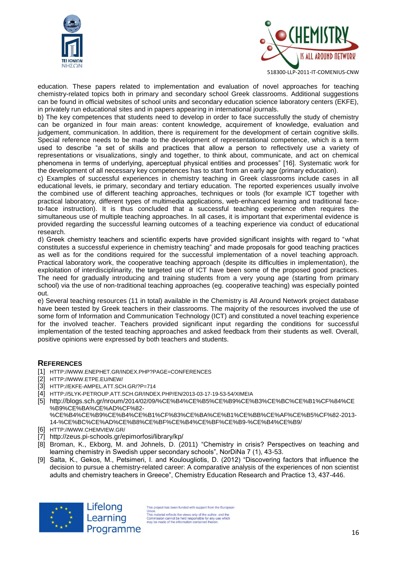



education. These papers related to implementation and evaluation of novel approaches for teaching chemistry-related topics both in primary and secondary school Greek classrooms. Additional suggestions can be found in official websites of school units and secondary education science laboratory centers (EKFE), in privately run educational sites and in papers appearing in international journals.

b) The key competences that students need to develop in order to face successfully the study of chemistry can be organized in four main areas: content knowledge, acquirement of knowledge, evaluation and judgement, communication. In addition, there is requirement for the development of certain cognitive skills. Special reference needs to be made to the development of representational competence, which is a term used to describe "a set of skills and practices that allow a person to reflectively use a variety of representations or visualizations, singly and together, to think about, communicate, and act on chemical phenomena in terms of underlying, aperceptual physical entities and processes" [16]. Systematic work for the development of all necessary key competences has to start from an early age (primary education).

c) Examples of successful experiences in chemistry teaching in Greek classrooms include cases in all educational levels, ie primary, secondary and tertiary education. The reported experiences usually involve the combined use of different teaching approaches, techniques or tools (for example ICT together with practical laboratory, different types of multimedia applications, web-enhanced learning and traditional faceto-face instruction). It is thus concluded that a successful teaching experience often requires the simultaneous use of multiple teaching approaches. In all cases, it is important that experimental evidence is provided regarding the successful learning outcomes of a teaching experience via conduct of educational research.

d) Greek chemistry teachers and scientific experts have provided significant insights with regard to "what constitutes a successful experience in chemistry teaching" and made proposals for good teaching practices as well as for the conditions required for the successful implementation of a novel teaching approach. Practical laboratory work, the cooperative teaching approach (despite its difficulties in implementation), the exploitation of interdisciplinarity, the targeted use of ICT have been some of the proposed good practices. The need for gradually introducing and training students from a very young age (starting from primary school) via the use of non-traditional teaching approaches (eg. cooperative teaching) was especially pointed out.

e) Several teaching resources (11 in total) available in the Chemistry is All Around Network project database have been tested by Greek teachers in their classrooms. The majority of the resources involved the use of some form of Information and Communication Technology (ICT) and constituted a novel teaching experience for the involved teacher. Teachers provided significant input regarding the conditions for successful implementation of the tested teaching approaches and asked feedback from their students as well. Overall, positive opinions were expressed by both teachers and students.

#### **REFERENCES**

- [1] [HTTP://WWW.ENEPHET.GR/INDEX.PHP?PAGE=CONFERENCES](http://www.enephet.gr/INDEX.PHP?PAGE=CONFERENCES)
- [2] [HTTP://WWW.ETPE.EU/NEW/](http://www.etpe.eu/new/)
- [3] [HTTP://EKFE-AMPEL.ATT.SCH.GR/?P=714](http://ekfe-ampel.att.sch.gr/?p=714)
- [4] [HTTP://5LYK-PETROUP.ATT.SCH.GR/INDEX.PHP/EN/2013-03-17-19-53-54/XIMEIA](http://5lyk-petroup.att.sch.gr/index.php/en/2013-03-17-19-53-54/ximeia)
- [5] http://blogs.sch.gr/nroum/2014/02/09/%CE%B4%CE%B5%CE%B9%CE%B3%CE%BC%CE%B1%CF%84%CE %B9%CE%BA%CE%AD%CF%82- %CE%B4%CE%B9%CE%B4%CE%B1%CF%83%CE%BA%CE%B1%CE%BB%CE%AF%CE%B5%CF%82-2013-
	- 14-%CE%BC%CE%AD%CE%B8%CE%BF%CE%B4%CE%BF%CE%B9-%CE%B4%CE%B9/
- [6] [HTTP://WWW.CHEMVIEW.GR/](http://www.chemview.gr/)
- [7] <http://zeus.pi-schools.gr/epimorfosi/library/kp/>
- [8] Broman, K., Ekborg, M. and Johnels, D. (2011) "Chemistry in crisis? Perspectives on teaching and learning chemistry in Swedish upper secondary schools", NorDiNa 7 (1), 43-53.
- [9] Salta, K., Gekos, M., Petsimeri, I. and Koulougliotis, D. (2012) "Discovering factors that influence the decision to pursue a chemistry-related career: A comparative analysis of the experiences of non scientist adults and chemistry teachers in Greece", Chemistry Education Research and Practice 13, 437-446.